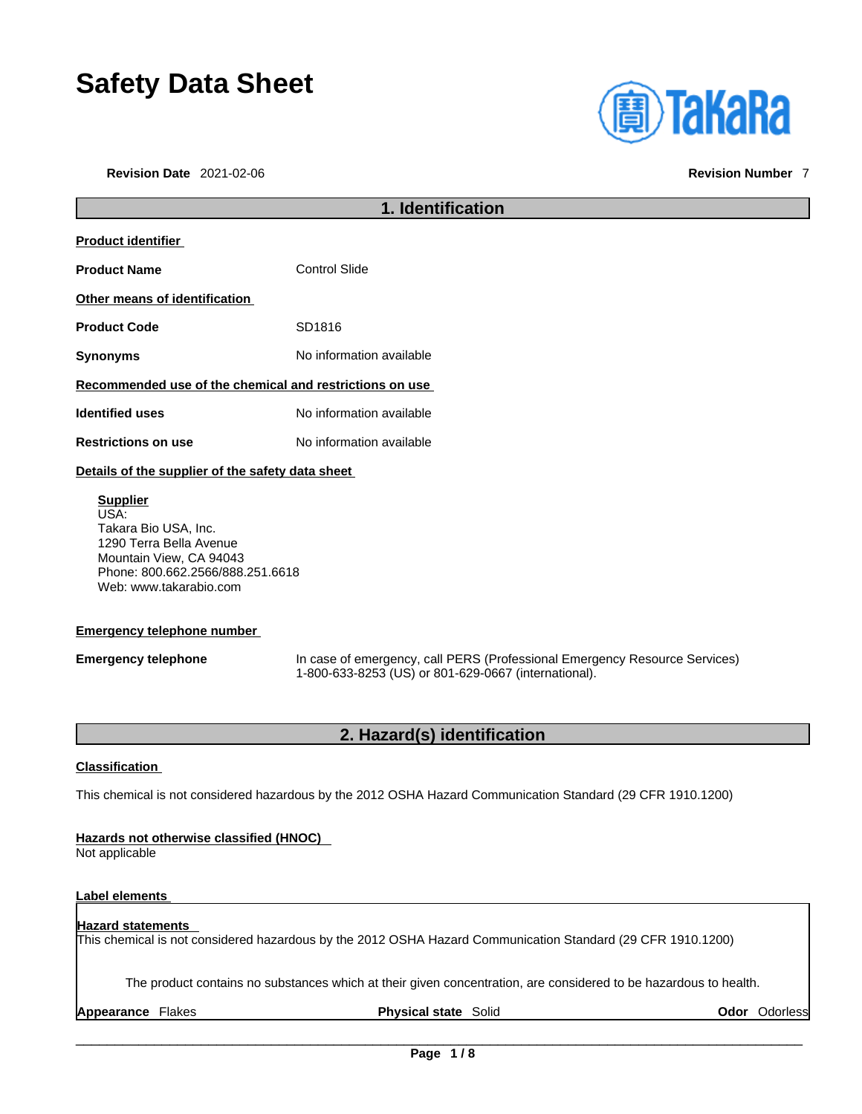# **Safety Data Sheet**

**Revision Date** 2021-02-06 **Revision Number** 7

| <b>(A)TaKaRa</b> |  |  |
|------------------|--|--|
|                  |  |  |
|                  |  |  |
|                  |  |  |

| 1. Identification                                       |                          |
|---------------------------------------------------------|--------------------------|
| <b>Product identifier</b>                               |                          |
| <b>Product Name</b>                                     | <b>Control Slide</b>     |
| Other means of identification                           |                          |
| <b>Product Code</b>                                     | SD1816                   |
| <b>Synonyms</b>                                         | No information available |
| Recommended use of the chemical and restrictions on use |                          |
| <b>Identified uses</b>                                  | No information available |
| <b>Restrictions on use</b>                              | No information available |
| Details of the supplier of the safety data sheet        |                          |
| <b>Supplier</b><br>USA:<br>Takara Bio USA, Inc.         |                          |

1290 Terra Bella Avenue Mountain View, CA 94043 Phone: 800.662.2566/888.251.6618 Web: www.takarabio.com

### **Emergency telephone number**

**Emergency telephone** In case of emergency, call PERS (Professional Emergency Resource Services) 1-800-633-8253 (US) or 801-629-0667 (international).

## **2. Hazard(s) identification**

### **Classification**

This chemical is not considered hazardous by the 2012 OSHA Hazard Communication Standard (29 CFR 1910.1200)

### **Hazards not otherwise classified (HNOC)**

Not applicable

### **Label elements**

### **Hazard statements**

This chemical is not considered hazardous by the 2012 OSHA Hazard Communication Standard (29 CFR 1910.1200)

The product contains no substances which at their given concentration, are considered to be hazardous to health.

**Appearance** Flakes **Physical state** Solid **Odor** Odorless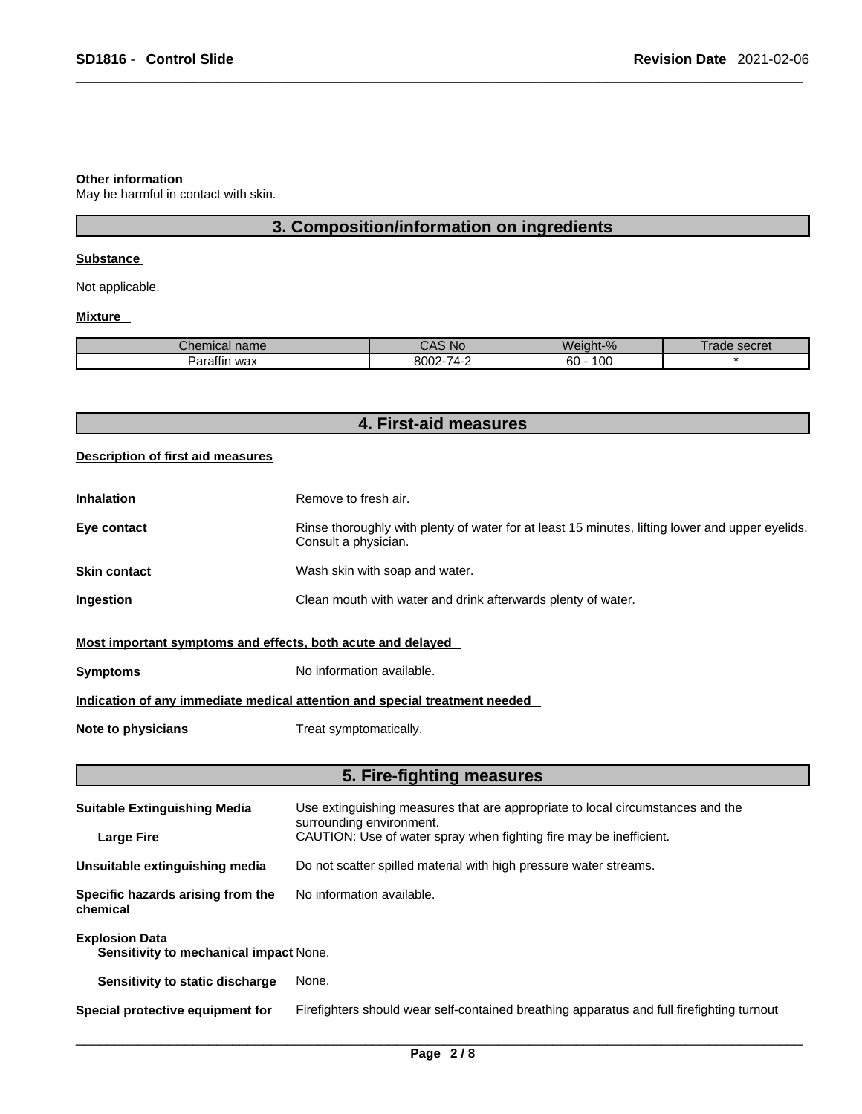#### **Other information**

May be harmful in contact with skin.

### **3. Composition/information on ingredients**

### **Substance**

Not applicable.

### **Mixture**

| ъ.<br>nical name<br>∍ner | .No                                                             | $\Omega$<br>.<br>Weiaht-<br>$-70$ | secret<br>age |
|--------------------------|-----------------------------------------------------------------|-----------------------------------|---------------|
| $- - -$<br>wax<br>'aramr | $-1$<br>nnnn<br>$\overline{\phantom{a}}$<br>- - - - -<br>.<br>- | 10C<br>60                         |               |

|  |  | 4. First-aid measures |  |
|--|--|-----------------------|--|
|--|--|-----------------------|--|

### **Description of first aid measures**

| <b>Inhalation</b> | Remove to fresh air.                                                                                                    |
|-------------------|-------------------------------------------------------------------------------------------------------------------------|
| Eye contact       | Rinse thoroughly with plenty of water for at least 15 minutes, lifting lower and upper eyelids.<br>Consult a physician. |
| Skin contact      | Wash skin with soap and water.                                                                                          |
| Ingestion         | Clean mouth with water and drink afterwards plenty of water.                                                            |
|                   |                                                                                                                         |

### **Most important symptoms and effects, both acute and delayed**

**Symptoms** No information available.

### **Indication of any immediate medical attention and special treatment needed**

**Note to physicians** Treat symptomatically.

### **5. Fire-fighting measures**

| <b>Suitable Extinguishing Media</b>                             | Use extinguishing measures that are appropriate to local circumstances and the<br>surrounding environment. |
|-----------------------------------------------------------------|------------------------------------------------------------------------------------------------------------|
| <b>Large Fire</b>                                               | CAUTION: Use of water spray when fighting fire may be inefficient.                                         |
| Unsuitable extinguishing media                                  | Do not scatter spilled material with high pressure water streams.                                          |
| Specific hazards arising from the<br>chemical                   | No information available.                                                                                  |
| <b>Explosion Data</b><br>Sensitivity to mechanical impact None. |                                                                                                            |
| Sensitivity to static discharge                                 | None.                                                                                                      |
| Special protective equipment for                                | Firefighters should wear self-contained breathing apparatus and full firefighting turnout                  |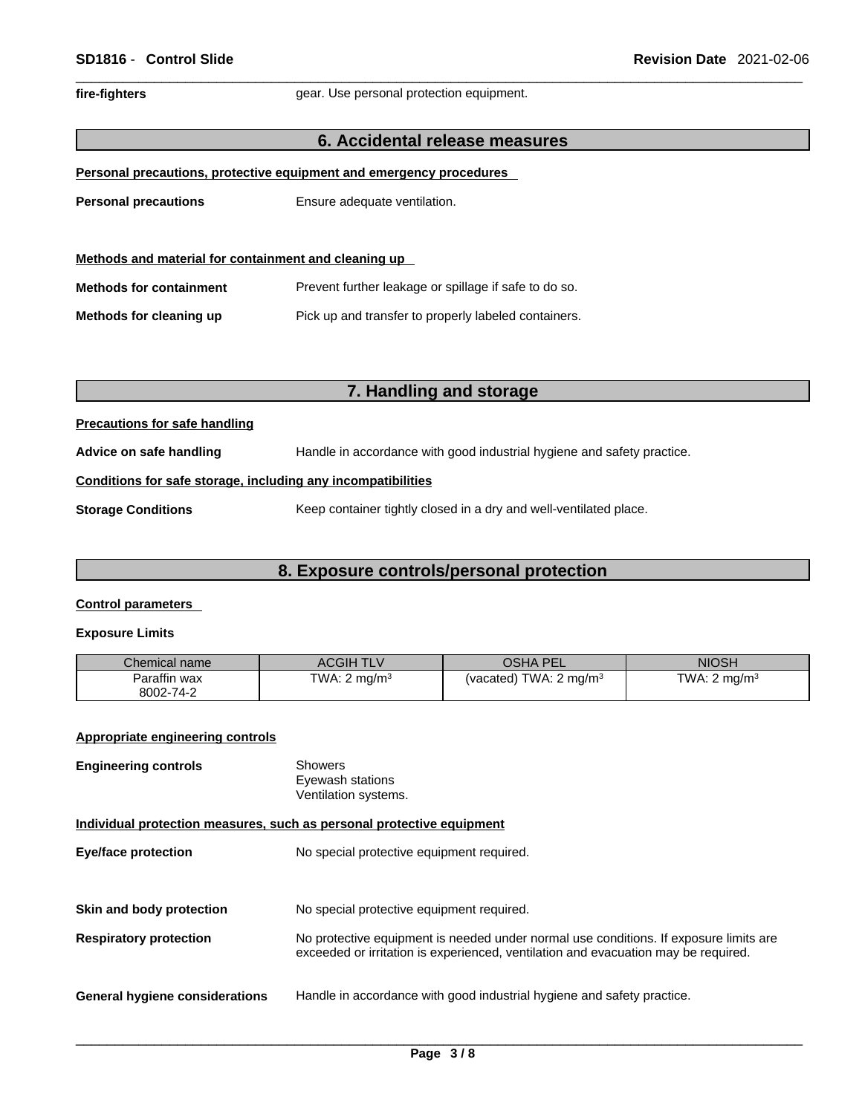fire-fighters **gear.** Use personal protection equipment.

### **6. Accidental release measures**

|  | Personal precautions, protective equipment and emergency procedures |  |
|--|---------------------------------------------------------------------|--|
|--|---------------------------------------------------------------------|--|

**Personal precautions** Ensure adequate ventilation.

| Methods and material for containment and cleaning up |                                                       |  |
|------------------------------------------------------|-------------------------------------------------------|--|
| <b>Methods for containment</b>                       | Prevent further leakage or spillage if safe to do so. |  |
| Methods for cleaning up                              | Pick up and transfer to properly labeled containers.  |  |

### **7. Handling and storage**

### **Precautions for safe handling**

**Advice on safe handling** Handle in accordance with good industrial hygiene and safety practice.

### **Conditions for safe storage, including any incompatibilities**

**Storage Conditions** Keep container tightly closed in a dry and well-ventilated place.

### **8. Exposure controls/personal protection**

### **Control parameters**

### **Exposure Limits**

| Chemical name | <b>ACGIH TLV</b>         | OSHA PEL                          | <b>NIOSH</b>             |
|---------------|--------------------------|-----------------------------------|--------------------------|
| Paraffin wax  | TWA: 2 mg/m <sup>3</sup> | (vacated) TWA: $2 \text{ mg/m}^3$ | TWA: 2 ma/m <sup>3</sup> |
| 8002-74-2     |                          |                                   |                          |

### **Appropriate engineering controls**

| <b>Engineering controls</b>                                           | <b>Showers</b><br>Eyewash stations<br>Ventilation systems.                                                                                                                  |
|-----------------------------------------------------------------------|-----------------------------------------------------------------------------------------------------------------------------------------------------------------------------|
| Individual protection measures, such as personal protective equipment |                                                                                                                                                                             |
| <b>Eye/face protection</b>                                            | No special protective equipment required.                                                                                                                                   |
|                                                                       |                                                                                                                                                                             |
| Skin and body protection                                              | No special protective equipment required.                                                                                                                                   |
| <b>Respiratory protection</b>                                         | No protective equipment is needed under normal use conditions. If exposure limits are<br>exceeded or irritation is experienced, ventilation and evacuation may be required. |
| <b>General hygiene considerations</b>                                 | Handle in accordance with good industrial hygiene and safety practice.                                                                                                      |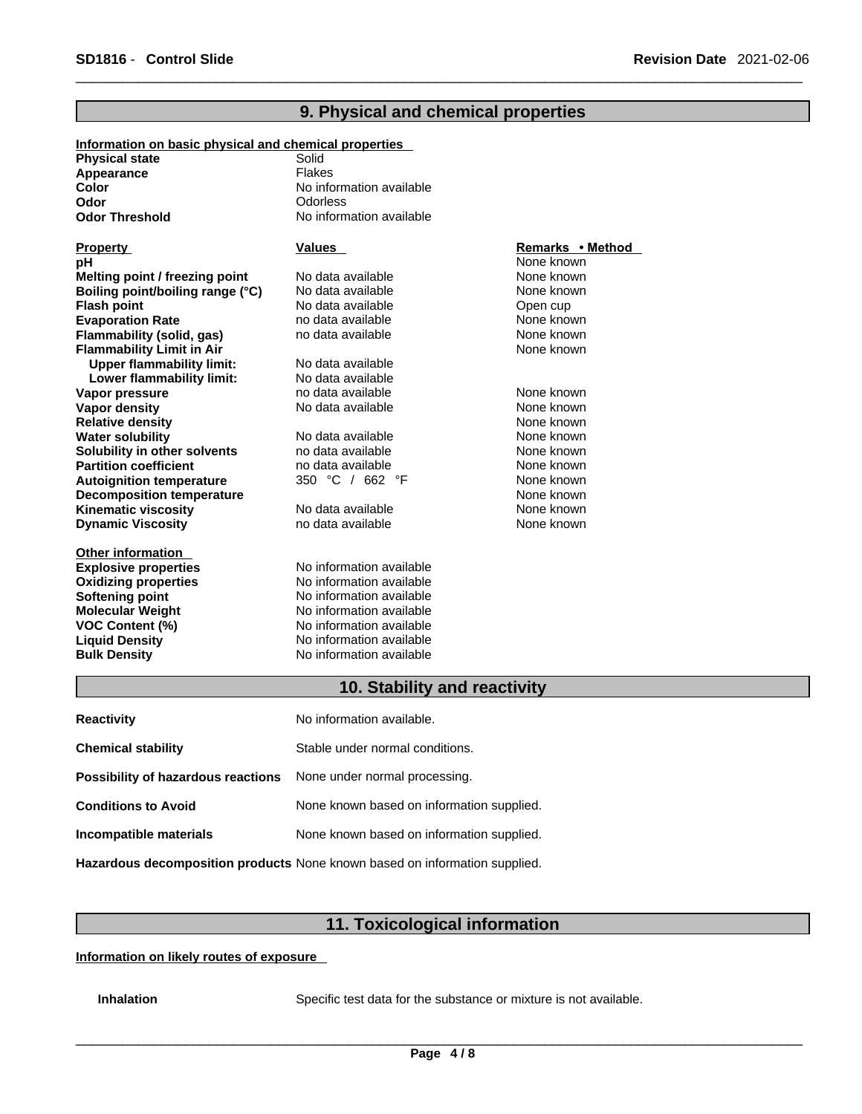| Information on basic physical and chemical properties |                          |                  |
|-------------------------------------------------------|--------------------------|------------------|
| <b>Physical state</b>                                 | Solid                    |                  |
| Appearance                                            | <b>Flakes</b>            |                  |
| Color                                                 | No information available |                  |
| Odor                                                  | Odorless                 |                  |
| <b>Odor Threshold</b>                                 | No information available |                  |
|                                                       |                          |                  |
| <b>Property</b>                                       | Values                   | Remarks • Method |
| рH                                                    |                          | None known       |
| Melting point / freezing point                        | No data available        | None known       |
| Boiling point/boiling range (°C)                      | No data available        | None known       |
| <b>Flash point</b>                                    | No data available        | Open cup         |
| <b>Evaporation Rate</b>                               | no data available        | None known       |
| Flammability (solid, gas)                             | no data available        | None known       |
| <b>Flammability Limit in Air</b>                      |                          | None known       |
| <b>Upper flammability limit:</b>                      | No data available        |                  |
| Lower flammability limit:                             | No data available        |                  |
| Vapor pressure                                        | no data available        | None known       |
| <b>Vapor density</b>                                  | No data available        | None known       |
| <b>Relative density</b>                               |                          | None known       |
| <b>Water solubility</b>                               | No data available        | None known       |
| Solubility in other solvents                          | no data available        | None known       |
| <b>Partition coefficient</b>                          | no data available        | None known       |
| <b>Autoignition temperature</b>                       | 350 °C / 662 °F          | None known       |
| <b>Decomposition temperature</b>                      |                          | None known       |
| <b>Kinematic viscosity</b>                            | No data available        | None known       |
| <b>Dynamic Viscosity</b>                              | no data available        | None known       |
| <b>Other information</b>                              |                          |                  |
| <b>Explosive properties</b>                           | No information available |                  |
| <b>Oxidizing properties</b>                           | No information available |                  |
| <b>Softening point</b>                                | No information available |                  |
| <b>Molecular Weight</b>                               | No information available |                  |
| <b>VOC Content (%)</b>                                | No information available |                  |
| <b>Liquid Density</b>                                 | No information available |                  |
| <b>Bulk Density</b>                                   | No information available |                  |
|                                                       |                          |                  |

### **9. Physical and chemical properties**

### **10. Stability and reactivity**

| <b>Reactivity</b>                  | No information available.                                                         |
|------------------------------------|-----------------------------------------------------------------------------------|
| <b>Chemical stability</b>          | Stable under normal conditions.                                                   |
| Possibility of hazardous reactions | None under normal processing.                                                     |
| <b>Conditions to Avoid</b>         | None known based on information supplied.                                         |
| Incompatible materials             | None known based on information supplied.                                         |
|                                    | <b>Hazardous decomposition products</b> None known based on information supplied. |

## **11. Toxicological information**

**Information on likely routes of exposure**

**Inhalation** Specific test data for the substance or mixture is not available.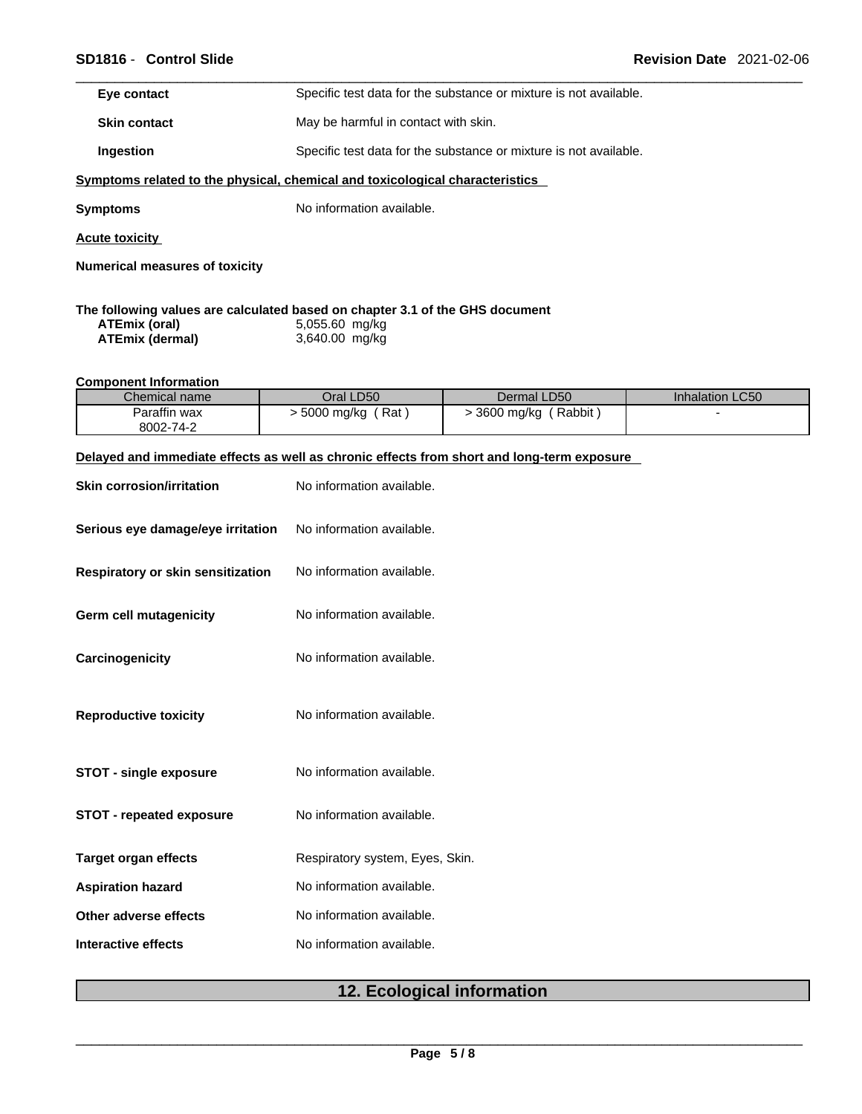| Eye contact                                                                  | Specific test data for the substance or mixture is not available. |  |  |
|------------------------------------------------------------------------------|-------------------------------------------------------------------|--|--|
| <b>Skin contact</b>                                                          | May be harmful in contact with skin.                              |  |  |
| Ingestion                                                                    | Specific test data for the substance or mixture is not available. |  |  |
| Symptoms related to the physical, chemical and toxicological characteristics |                                                                   |  |  |
| Symptoms                                                                     | No information available.                                         |  |  |
| <b>Acute toxicity</b>                                                        |                                                                   |  |  |
| <b>Numerical measures of toxicity</b>                                        |                                                                   |  |  |
|                                                                              |                                                                   |  |  |

### **The following values are calculated based on chapter 3.1 of the GHS document ATEmix (oral)** 5,055.60 mg/kg **ATEmix** (dermal)

### **Component Information**

| Chemical name | Oral LD50             | Dermal LD50          | Inhalation LC50 |
|---------------|-----------------------|----------------------|-----------------|
| Paraffin wax  | ∫ Rat<br>. 5000 mg/kg | Rabbit<br>3600 mg/kg |                 |
| 8002-74-2     |                       |                      |                 |

### **Delayed and immediate effects as well as chronic effects from short and long-term exposure**

| <b>Skin corrosion/irritation</b>  | No information available.       |
|-----------------------------------|---------------------------------|
| Serious eye damage/eye irritation | No information available.       |
| Respiratory or skin sensitization | No information available.       |
| <b>Germ cell mutagenicity</b>     | No information available.       |
| Carcinogenicity                   | No information available.       |
| <b>Reproductive toxicity</b>      | No information available.       |
| <b>STOT - single exposure</b>     | No information available.       |
| <b>STOT - repeated exposure</b>   | No information available.       |
| <b>Target organ effects</b>       | Respiratory system, Eyes, Skin. |
| <b>Aspiration hazard</b>          | No information available.       |
| Other adverse effects             | No information available.       |
| Interactive effects               | No information available.       |

### **12. Ecological information**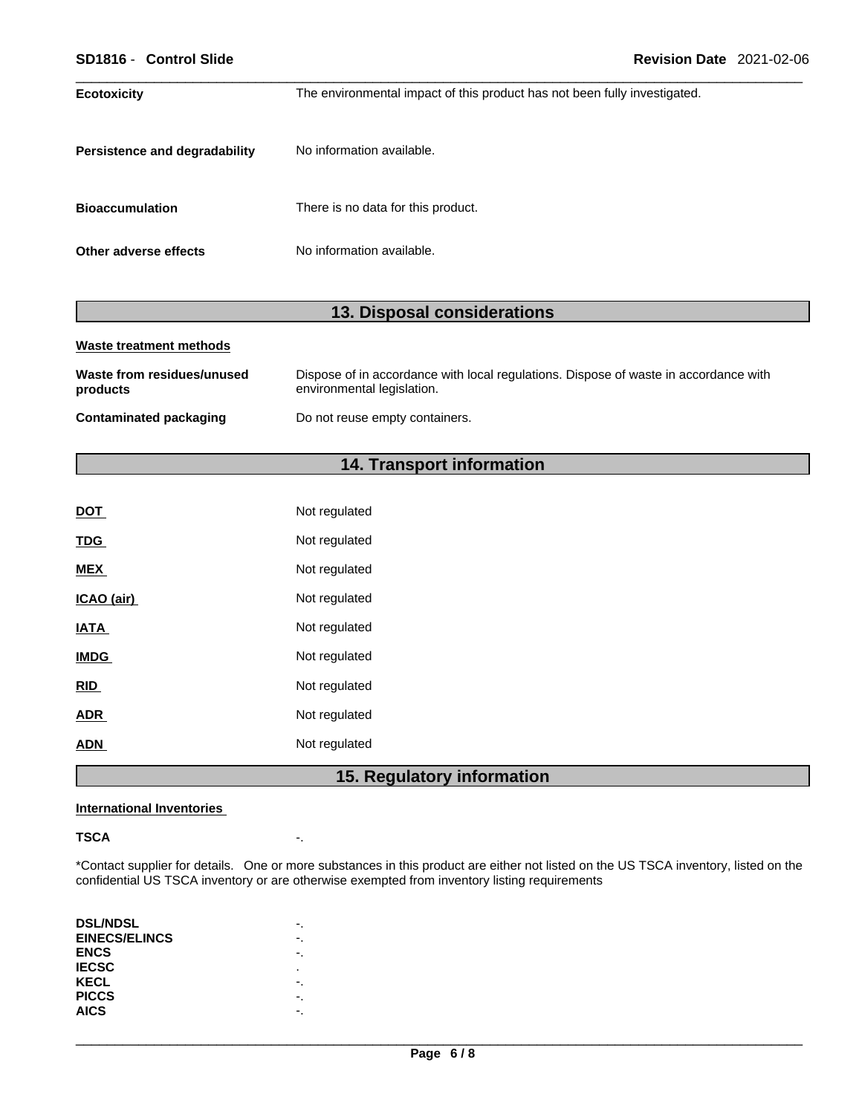| SD1816 - Control Slide               | <b>Revision Date 2021-02-06</b>                                           |  |
|--------------------------------------|---------------------------------------------------------------------------|--|
| <b>Ecotoxicity</b>                   | The environmental impact of this product has not been fully investigated. |  |
| <b>Persistence and degradability</b> | No information available.                                                 |  |
| <b>Bioaccumulation</b>               | There is no data for this product.                                        |  |
| Other adverse effects                | No information available.                                                 |  |

## **13. Disposal considerations**

| Waste treatment methods                |                                                                                                                    |  |  |
|----------------------------------------|--------------------------------------------------------------------------------------------------------------------|--|--|
| Waste from residues/unused<br>products | Dispose of in accordance with local regulations. Dispose of waste in accordance with<br>environmental legislation. |  |  |
| Contaminated packaging                 | Do not reuse empty containers.                                                                                     |  |  |

### **14. Transport information**

| <b>DOT</b>  | Not regulated |
|-------------|---------------|
| <b>TDG</b>  | Not regulated |
| <b>MEX</b>  | Not regulated |
| ICAO (air)  | Not regulated |
| <b>IATA</b> | Not regulated |
| <b>IMDG</b> | Not regulated |
| <b>RID</b>  | Not regulated |
| <b>ADR</b>  | Not regulated |
| <b>ADN</b>  | Not regulated |
|             |               |

## **15. Regulatory information**

### **International Inventories**

### **TSCA** -.

\*Contact supplier for details. One or more substances in this product are either not listed on the US TSCA inventory, listed on the confidential US TSCA inventory or are otherwise exempted from inventory listing requirements

| <b>DSL/NDSL</b>      |    |
|----------------------|----|
| <b>EINECS/ELINCS</b> |    |
| <b>ENCS</b>          | ٠. |
| <b>IECSC</b>         | ٠  |
| <b>KECL</b>          |    |
| <b>PICCS</b>         | ٠. |
| <b>AICS</b>          |    |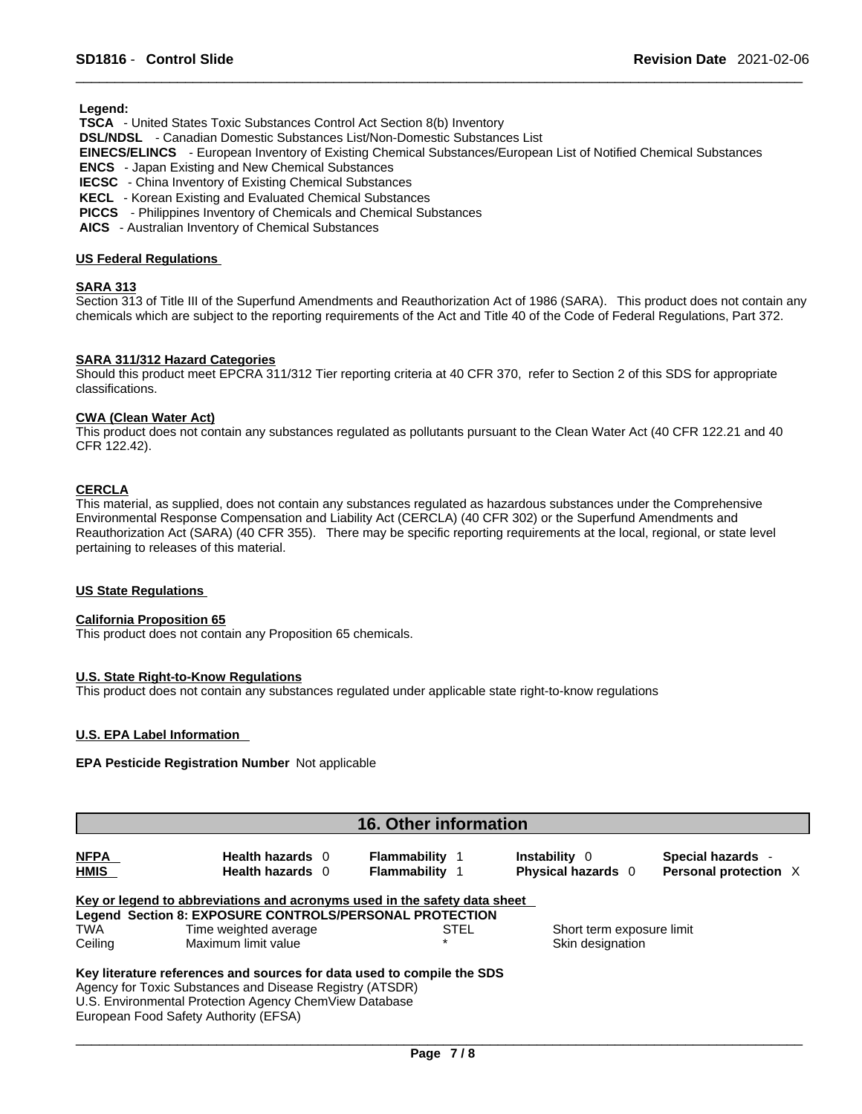**Legend:** 

 **TSCA** - United States Toxic Substances Control Act Section 8(b) Inventory

 **DSL/NDSL** - Canadian Domestic Substances List/Non-Domestic Substances List

 **EINECS/ELINCS** - European Inventory of Existing Chemical Substances/European List of Notified Chemical Substances

 **ENCS** - Japan Existing and New Chemical Substances

 **IECSC** - China Inventory of Existing Chemical Substances

 **KECL** - Korean Existing and Evaluated Chemical Substances

 **PICCS** - Philippines Inventory of Chemicals and Chemical Substances

 **AICS** - Australian Inventory of Chemical Substances

### **US Federal Regulations**

### **SARA 313**

Section 313 of Title III of the Superfund Amendments and Reauthorization Act of 1986 (SARA). This product does not contain any chemicals which are subject to the reporting requirements of the Act and Title 40 of the Code of Federal Regulations, Part 372.

### **SARA 311/312 Hazard Categories**

Should this product meet EPCRA 311/312 Tier reporting criteria at 40 CFR 370, refer to Section 2 of this SDS for appropriate classifications.

#### **CWA** (Clean Water Act)

This product does not contain any substances regulated as pollutants pursuant to the Clean Water Act (40 CFR 122.21 and 40 CFR 122.42).

### **CERCLA**

This material, as supplied, does not contain any substances regulated as hazardous substances under the Comprehensive Environmental Response Compensation and Liability Act (CERCLA) (40 CFR 302) or the Superfund Amendments and Reauthorization Act (SARA) (40 CFR 355). There may be specific reporting requirements at the local, regional, or state level pertaining to releases of this material.

#### **US State Regulations**

#### **California Proposition 65**

This product does not contain any Proposition 65 chemicals.

#### **U.S. State Right-to-Know Regulations**

This product does not contain any substances regulated under applicable state right-to-know regulations

### **U.S. EPA Label Information**

### **EPA Pesticide Registration Number** Not applicable

| <b>16. Other information</b> |                                                                           |                                                |                                                   |                                            |
|------------------------------|---------------------------------------------------------------------------|------------------------------------------------|---------------------------------------------------|--------------------------------------------|
| <b>NFPA</b><br><b>HMIS</b>   | Health hazards 0<br><b>Health hazards</b> 0                               | <b>Flammability</b> 1<br><b>Flammability 1</b> | <b>Instability</b> 0<br><b>Physical hazards</b> 0 | Special hazards -<br>Personal protection X |
|                              | Key or legend to abbreviations and acronyms used in the safety data sheet |                                                |                                                   |                                            |
|                              | Legend Section 8: EXPOSURE CONTROLS/PERSONAL PROTECTION                   |                                                |                                                   |                                            |
| TWA                          | Time weighted average                                                     | STEL                                           | Short term exposure limit                         |                                            |
| Ceiling                      | Maximum limit value                                                       |                                                | Skin designation                                  |                                            |
|                              | Key literature references and sources for data used to compile the SDS    |                                                |                                                   |                                            |
|                              | Agency for Toxic Substances and Disease Registry (ATSDR)                  |                                                |                                                   |                                            |
|                              | U.S. Environmental Protection Agency ChemView Database                    |                                                |                                                   |                                            |
|                              |                                                                           |                                                |                                                   |                                            |

European Food Safety Authority (EFSA)